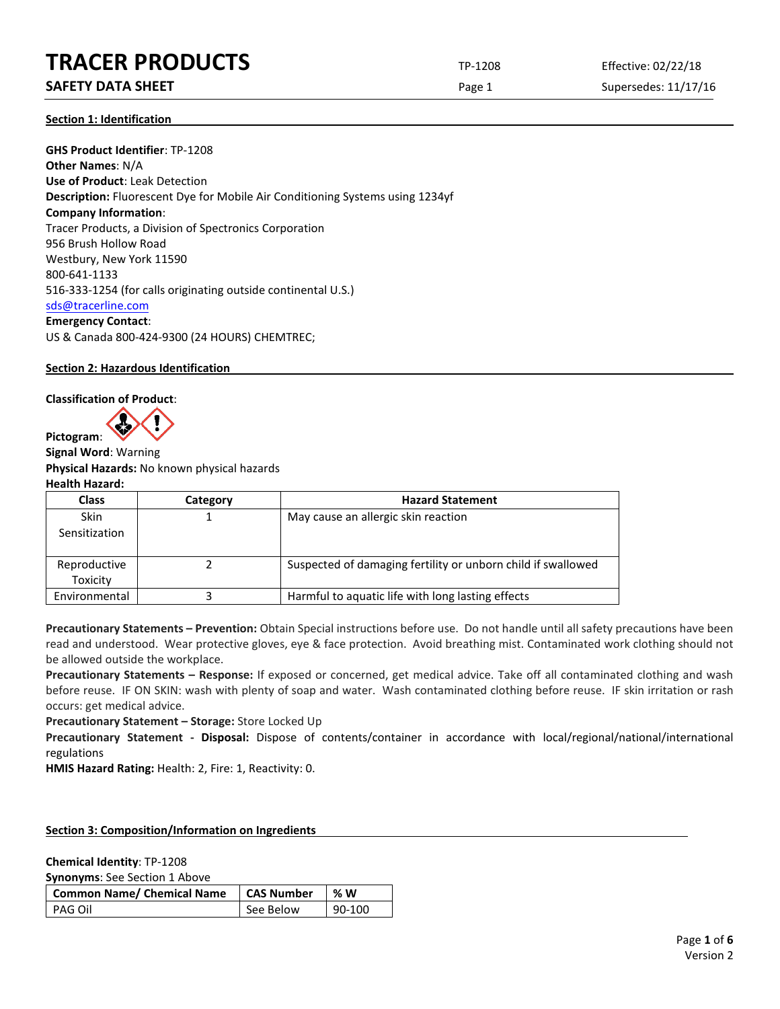**SAFETY DATA SHEET** SUPERFOUR CONSUMING THE Page 1 Supersedes: 11/17/16

**Section 1: Identification**

**GHS Product Identifier**: TP-1208 **Other Names**: N/A **Use of Product**: Leak Detection **Description:** Fluorescent Dye for Mobile Air Conditioning Systems using 1234yf **Company Information**: Tracer Products, a Division of Spectronics Corporation 956 Brush Hollow Road Westbury, New York 11590 800-641-1133 516-333-1254 (for calls originating outside continental U.S.) [sds@tracerline.com](mailto:sds@tracerline.com) **Emergency Contact**: US & Canada 800-424-9300 (24 HOURS) CHEMTREC;

**Section 2: Hazardous Identification**

**Classification of Product**:

**Pictogram**:



**Signal Word**: Warning **Physical Hazards:** No known physical hazards **Health Hazard:**

**Class Category Hazard Statement** Skin Sensitization 1 May cause an allergic skin reaction Reproductive **Toxicity** 2 Suspected of damaging fertility or unborn child if swallowed Environmental 3 3 Harmful to aquatic life with long lasting effects

**Precautionary Statements – Prevention:** Obtain Special instructions before use. Do not handle until all safety precautions have been read and understood. Wear protective gloves, eye & face protection. Avoid breathing mist. Contaminated work clothing should not be allowed outside the workplace.

**Precautionary Statements – Response:** If exposed or concerned, get medical advice. Take off all contaminated clothing and wash before reuse. IF ON SKIN: wash with plenty of soap and water. Wash contaminated clothing before reuse. IF skin irritation or rash occurs: get medical advice.

**Precautionary Statement – Storage:** Store Locked Up

**Precautionary Statement - Disposal:** Dispose of contents/container in accordance with local/regional/national/international regulations

**HMIS Hazard Rating:** Health: 2, Fire: 1, Reactivity: 0.

## **Section 3: Composition/Information on Ingredients**

**Chemical Identity**: TP-1208

**Synonyms**: See Section 1 Above

| Common Name/ Chemical Name | <b>CAS Number</b> | <b>% W</b> |
|----------------------------|-------------------|------------|
| l PAG Oil                  | See Below         | 90-100     |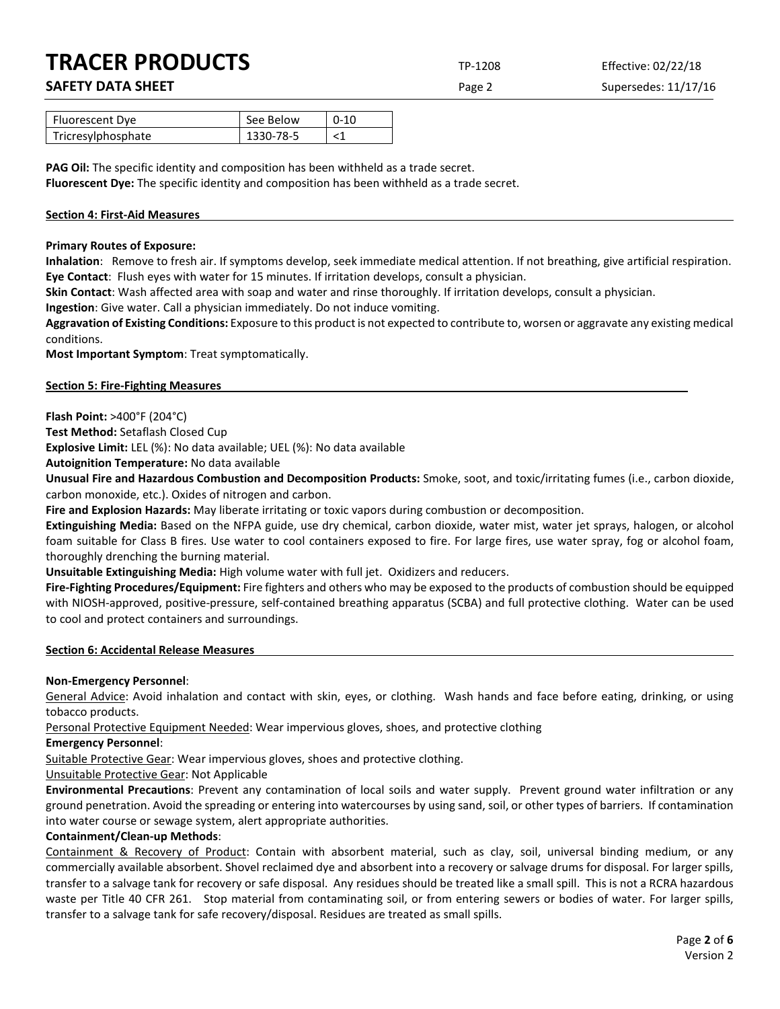**SAFETY DATA SHEET** SUPERFOUR CONSUMING THE Page 2 Supersedes: 11/17/16

| Fluorescent Dye    | See Below | $0 - 10$ |
|--------------------|-----------|----------|
| Tricresylphosphate | 1330-78-5 |          |

**PAG Oil:** The specific identity and composition has been withheld as a trade secret. **Fluorescent Dye:** The specific identity and composition has been withheld as a trade secret.

## **Section 4: First-Aid Measures**

## **Primary Routes of Exposure:**

**Inhalation**: Remove to fresh air. If symptoms develop, seek immediate medical attention. If not breathing, give artificial respiration. **Eye Contact**: Flush eyes with water for 15 minutes. If irritation develops, consult a physician.

**Skin Contact**: Wash affected area with soap and water and rinse thoroughly. If irritation develops, consult a physician.

**Ingestion**: Give water. Call a physician immediately. Do not induce vomiting.

**Aggravation of Existing Conditions:** Exposure to this product is not expected to contribute to, worsen or aggravate any existing medical conditions.

**Most Important Symptom**: Treat symptomatically.

## **Section 5: Fire-Fighting Measures**

**Flash Point:** >400°F (204°C)

**Test Method:** Setaflash Closed Cup

**Explosive Limit:** LEL (%): No data available; UEL (%): No data available

**Autoignition Temperature:** No data available

**Unusual Fire and Hazardous Combustion and Decomposition Products:** Smoke, soot, and toxic/irritating fumes (i.e., carbon dioxide, carbon monoxide, etc.). Oxides of nitrogen and carbon.

**Fire and Explosion Hazards:** May liberate irritating or toxic vapors during combustion or decomposition.

**Extinguishing Media:** Based on the NFPA guide, use dry chemical, carbon dioxide, water mist, water jet sprays, halogen, or alcohol foam suitable for Class B fires. Use water to cool containers exposed to fire. For large fires, use water spray, fog or alcohol foam, thoroughly drenching the burning material.

**Unsuitable Extinguishing Media:** High volume water with full jet. Oxidizers and reducers.

**Fire-Fighting Procedures/Equipment:** Fire fighters and others who may be exposed to the products of combustion should be equipped with NIOSH-approved, positive-pressure, self-contained breathing apparatus (SCBA) and full protective clothing. Water can be used to cool and protect containers and surroundings.

### **Section 6: Accidental Release Measures**

## **Non-Emergency Personnel**:

General Advice: Avoid inhalation and contact with skin, eyes, or clothing. Wash hands and face before eating, drinking, or using tobacco products.

Personal Protective Equipment Needed: Wear impervious gloves, shoes, and protective clothing

**Emergency Personnel**:

Suitable Protective Gear: Wear impervious gloves, shoes and protective clothing.

Unsuitable Protective Gear: Not Applicable

**Environmental Precautions**: Prevent any contamination of local soils and water supply. Prevent ground water infiltration or any ground penetration. Avoid the spreading or entering into watercourses by using sand, soil, or other types of barriers. If contamination into water course or sewage system, alert appropriate authorities.

## **Containment/Clean-up Methods**:

Containment & Recovery of Product: Contain with absorbent material, such as clay, soil, universal binding medium, or any commercially available absorbent. Shovel reclaimed dye and absorbent into a recovery or salvage drums for disposal. For larger spills, transfer to a salvage tank for recovery or safe disposal. Any residues should be treated like a small spill. This is not a RCRA hazardous waste per Title 40 CFR 261. Stop material from contaminating soil, or from entering sewers or bodies of water. For larger spills, transfer to a salvage tank for safe recovery/disposal. Residues are treated as small spills.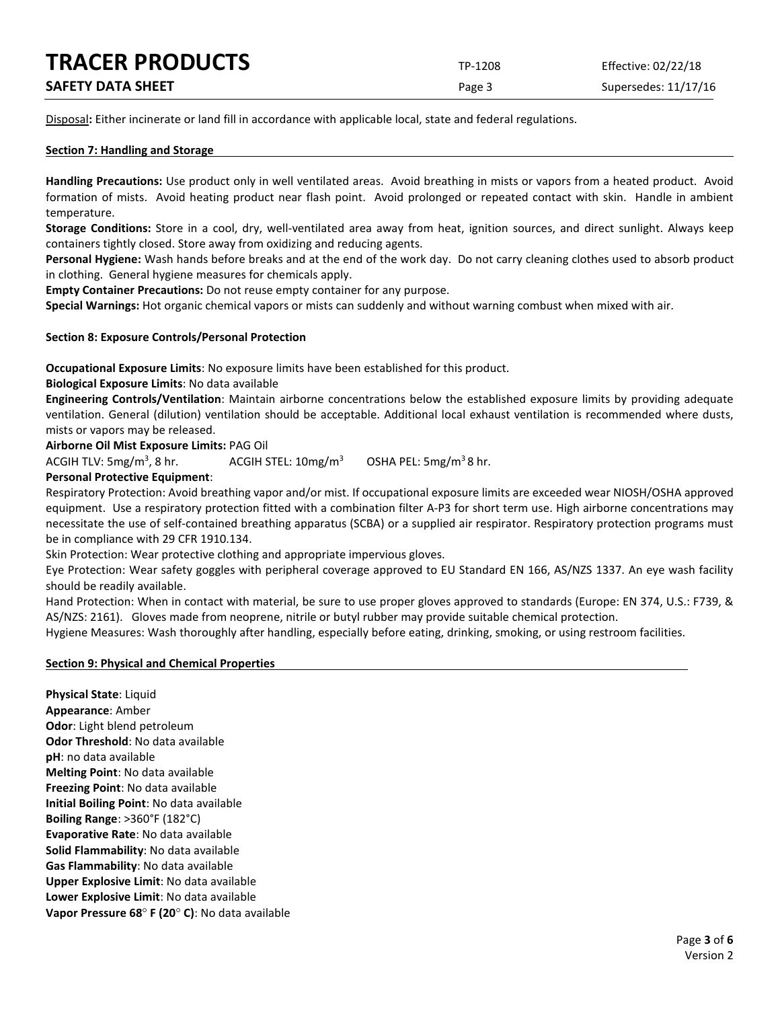| <b>TRACER PRODUCTS</b>   | TP-1208 | Effective: 02/22/18  |
|--------------------------|---------|----------------------|
| <b>SAFETY DATA SHEET</b> | Page 3  | Supersedes: 11/17/16 |

Disposal**:** Either incinerate or land fill in accordance with applicable local, state and federal regulations.

## **Section 7: Handling and Storage**

**Handling Precautions:** Use product only in well ventilated areas. Avoid breathing in mists or vapors from a heated product. Avoid formation of mists. Avoid heating product near flash point. Avoid prolonged or repeated contact with skin. Handle in ambient temperature.

**Storage Conditions:** Store in a cool, dry, well-ventilated area away from heat, ignition sources, and direct sunlight. Always keep containers tightly closed. Store away from oxidizing and reducing agents.

**Personal Hygiene:** Wash hands before breaks and at the end of the work day. Do not carry cleaning clothes used to absorb product in clothing. General hygiene measures for chemicals apply.

**Empty Container Precautions:** Do not reuse empty container for any purpose.

**Special Warnings:** Hot organic chemical vapors or mists can suddenly and without warning combust when mixed with air.

## **Section 8: Exposure Controls/Personal Protection**

**Occupational Exposure Limits**: No exposure limits have been established for this product.

**Biological Exposure Limits**: No data available

**Engineering Controls/Ventilation**: Maintain airborne concentrations below the established exposure limits by providing adequate ventilation. General (dilution) ventilation should be acceptable. Additional local exhaust ventilation is recommended where dusts, mists or vapors may be released.

**Airborne Oil Mist Exposure Limits:** PAG Oil

ACGIH TLV:  $5mg/m<sup>3</sup>$ , 8 hr. ACGIH STEL:  $10mg/m^3$  OSHA PEL: 5mg/m<sup>3</sup> 8 hr.

## **Personal Protective Equipment**:

Respiratory Protection: Avoid breathing vapor and/or mist. If occupational exposure limits are exceeded wear NIOSH/OSHA approved equipment. Use a respiratory protection fitted with a combination filter A-P3 for short term use. High airborne concentrations may necessitate the use of self-contained breathing apparatus (SCBA) or a supplied air respirator. Respiratory protection programs must be in compliance with 29 CFR 1910.134.

Skin Protection: Wear protective clothing and appropriate impervious gloves.

Eye Protection: Wear safety goggles with peripheral coverage approved to EU Standard EN 166, AS/NZS 1337. An eye wash facility should be readily available.

Hand Protection: When in contact with material, be sure to use proper gloves approved to standards (Europe: EN 374, U.S.: F739, & AS/NZS: 2161). Gloves made from neoprene, nitrile or butyl rubber may provide suitable chemical protection.

Hygiene Measures: Wash thoroughly after handling, especially before eating, drinking, smoking, or using restroom facilities.

### **Section 9: Physical and Chemical Properties**

**Physical State**: Liquid **Appearance**: Amber **Odor**: Light blend petroleum **Odor Threshold**: No data available **pH**: no data available **Melting Point**: No data available **Freezing Point**: No data available **Initial Boiling Point**: No data available **Boiling Range**: >360°F (182°C) **Evaporative Rate**: No data available **Solid Flammability**: No data available **Gas Flammability**: No data available **Upper Explosive Limit**: No data available **Lower Explosive Limit**: No data available **Vapor Pressure 68**° **F (20**° **C)**: No data available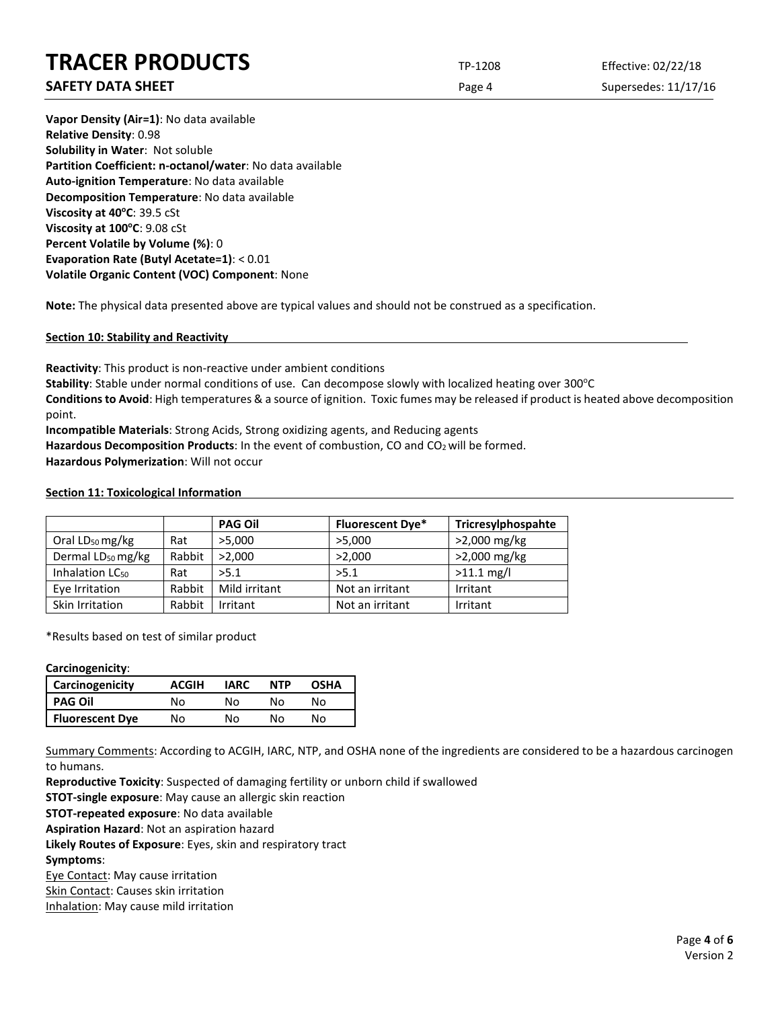## **SAFETY DATA SHEET** SUPERFOUR SAFET ASSEMBLY 10 A Supersedes: 11/17/16

**Vapor Density (Air=1)**: No data available **Relative Density**: 0.98 **Solubility in Water**: Not soluble **Partition Coefficient: n-octanol/water**: No data available **Auto-ignition Temperature**: No data available **Decomposition Temperature**: No data available **Viscosity at 40°C: 39.5 cSt Viscosity at 100°C: 9.08 cSt Percent Volatile by Volume (%)**: 0 **Evaporation Rate (Butyl Acetate=1)**: < 0.01 **Volatile Organic Content (VOC) Component**: None

**Note:** The physical data presented above are typical values and should not be construed as a specification.

**Section 10: Stability and Reactivity**

**Reactivity**: This product is non-reactive under ambient conditions Stability: Stable under normal conditions of use. Can decompose slowly with localized heating over 300°C **Conditions to Avoid**: High temperatures & a source of ignition. Toxic fumes may be released if product is heated above decomposition point.

**Incompatible Materials**: Strong Acids, Strong oxidizing agents, and Reducing agents Hazardous Decomposition Products: In the event of combustion, CO and CO<sub>2</sub> will be formed. **Hazardous Polymerization**: Will not occur

## **Section 11: Toxicological Information**

|                               |        | <b>PAG Oil</b> | <b>Fluorescent Dye*</b> | Tricresylphospahte |
|-------------------------------|--------|----------------|-------------------------|--------------------|
| Oral $LD_{50}$ mg/kg          | Rat    | >5,000         | >5,000                  | >2,000 mg/kg       |
| Dermal LD <sub>50</sub> mg/kg | Rabbit | >2.000         | >2,000                  | >2,000 mg/kg       |
| Inhalation LC <sub>50</sub>   | Rat    | >5.1           | >5.1                    | $>11.1$ mg/l       |
| Eye Irritation                | Rabbit | Mild irritant  | Not an irritant         | Irritant           |
| Skin Irritation               | Rabbit | Irritant       | Not an irritant         | Irritant           |

\*Results based on test of similar product

## **Carcinogenicity**:

| <b>Carcinogenicity</b> | ACGIH | <b>IARC</b> | <b>NTP</b> | OSHA |
|------------------------|-------|-------------|------------|------|
| <b>PAG Oil</b>         | N٥    | N٥          | N٥         | N٥   |
| <b>Fluorescent Dye</b> | No    | No          | N٥         | N٥   |

Summary Comments: According to ACGIH, IARC, NTP, and OSHA none of the ingredients are considered to be a hazardous carcinogen to humans.

**Reproductive Toxicity**: Suspected of damaging fertility or unborn child if swallowed

**STOT-single exposure**: May cause an allergic skin reaction

**STOT-repeated exposure**: No data available

**Aspiration Hazard**: Not an aspiration hazard

**Likely Routes of Exposure**: Eyes, skin and respiratory tract

**Symptoms**:

Eye Contact: May cause irritation

Skin Contact: Causes skin irritation

Inhalation: May cause mild irritation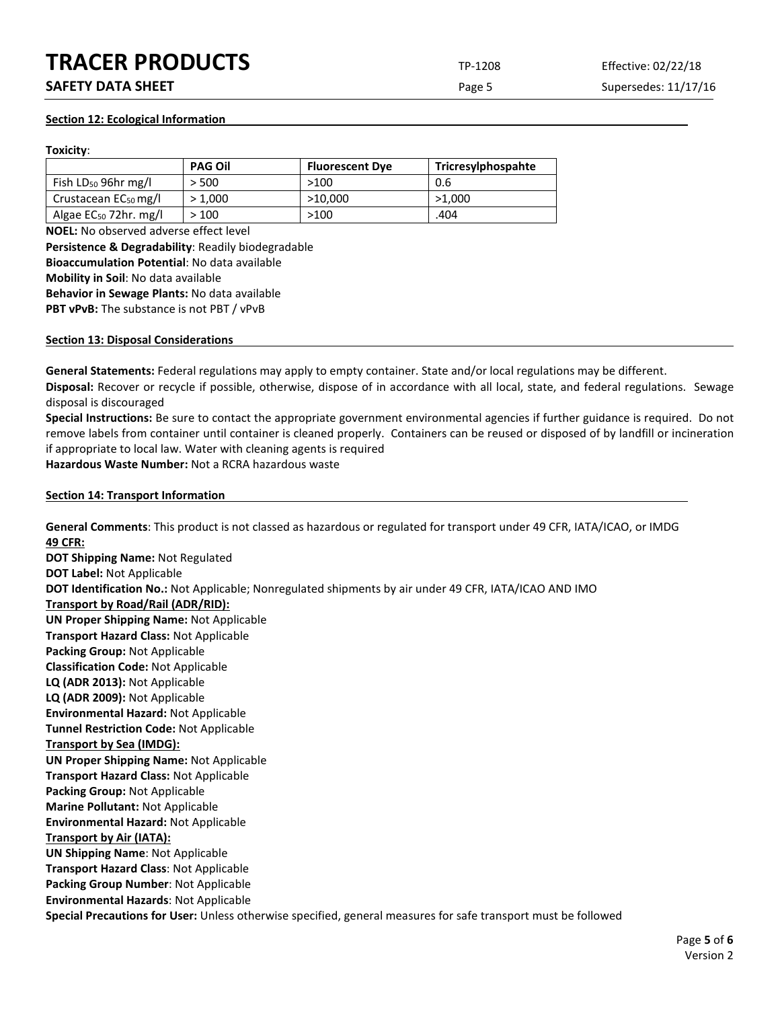**SAFETY DATA SHEET** SUPERFOUR CONSIDERING Page 5 Supersedes: 11/17/16

## **Section 12: Ecological Information**

## **Toxicity**:

|                                   | <b>PAG Oil</b> | <b>Fluorescent Dye</b> | Tricresylphospahte |
|-----------------------------------|----------------|------------------------|--------------------|
| Fish $LD_{50}$ 96hr mg/l          | > 500          | >100                   | 0.6                |
| Crustacean EC <sub>50</sub> mg/l  | > 1.000        | >10.000                | >1.000             |
| Algae EC <sub>50</sub> 72hr. mg/l | >100           | >100                   | .404               |

**NOEL:** No observed adverse effect level **Persistence & Degradability**: Readily biodegradable **Bioaccumulation Potential**: No data available **Mobility in Soil**: No data available **Behavior in Sewage Plants:** No data available PBT vPvB: The substance is not PBT / vPvB

## **Section 13: Disposal Considerations**

**General Statements:** Federal regulations may apply to empty container. State and/or local regulations may be different.

**Disposal:** Recover or recycle if possible, otherwise, dispose of in accordance with all local, state, and federal regulations. Sewage disposal is discouraged

**Special Instructions:** Be sure to contact the appropriate government environmental agencies if further guidance is required. Do not remove labels from container until container is cleaned properly. Containers can be reused or disposed of by landfill or incineration if appropriate to local law. Water with cleaning agents is required

**Hazardous Waste Number:** Not a RCRA hazardous waste

## **Section 14: Transport Information**

**General Comments**: This product is not classed as hazardous or regulated for transport under 49 CFR, IATA/ICAO, or IMDG **49 CFR:**

**DOT Shipping Name:** Not Regulated **DOT Label:** Not Applicable **DOT Identification No.:** Not Applicable; Nonregulated shipments by air under 49 CFR, IATA/ICAO AND IMO **Transport by Road/Rail (ADR/RID): UN Proper Shipping Name:** Not Applicable **Transport Hazard Class:** Not Applicable **Packing Group:** Not Applicable **Classification Code:** Not Applicable **LQ (ADR 2013):** Not Applicable **LQ (ADR 2009):** Not Applicable **Environmental Hazard:** Not Applicable **Tunnel Restriction Code:** Not Applicable **Transport by Sea (IMDG): UN Proper Shipping Name:** Not Applicable **Transport Hazard Class:** Not Applicable **Packing Group:** Not Applicable **Marine Pollutant:** Not Applicable **Environmental Hazard:** Not Applicable **Transport by Air (IATA): UN Shipping Name**: Not Applicable **Transport Hazard Class**: Not Applicable **Packing Group Number**: Not Applicable **Environmental Hazards**: Not Applicable **Special Precautions for User:** Unless otherwise specified, general measures for safe transport must be followed